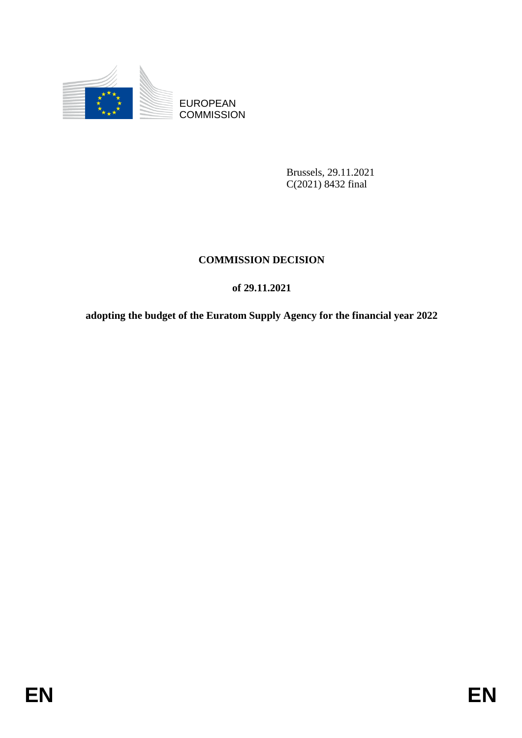

EUROPEAN **COMMISSION** 

> Brussels, 29.11.2021 C(2021) 8432 final

### **COMMISSION DECISION**

### **of 29.11.2021**

**adopting the budget of the Euratom Supply Agency for the financial year 2022**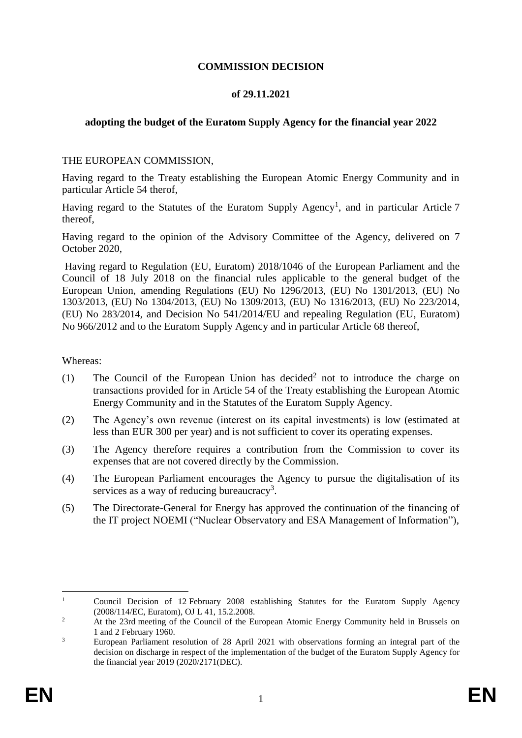#### **COMMISSION DECISION**

#### **of 29.11.2021**

#### **adopting the budget of the Euratom Supply Agency for the financial year 2022**

#### THE EUROPEAN COMMISSION,

Having regard to the Treaty establishing the European Atomic Energy Community and in particular Article 54 therof,

Having regard to the Statutes of the Euratom Supply Agency<sup>1</sup>, and in particular Article 7 thereof,

Having regard to the opinion of the Advisory Committee of the Agency, delivered on 7 October 2020,

Having regard to Regulation (EU, Euratom) 2018/1046 of the European Parliament and the Council of 18 July 2018 on the financial rules applicable to the general budget of the European Union, amending Regulations (EU) No 1296/2013, (EU) No 1301/2013, (EU) No 1303/2013, (EU) No 1304/2013, (EU) No 1309/2013, (EU) No 1316/2013, (EU) No 223/2014, (EU) No 283/2014, and Decision No 541/2014/EU and repealing Regulation (EU, Euratom) No 966/2012 and to the Euratom Supply Agency and in particular Article 68 thereof,

Whereas:

- (1) The Council of the European Union has decided<sup>2</sup> not to introduce the charge on transactions provided for in Article 54 of the Treaty establishing the European Atomic Energy Community and in the Statutes of the Euratom Supply Agency.
- (2) The Agency's own revenue (interest on its capital investments) is low (estimated at less than EUR 300 per year) and is not sufficient to cover its operating expenses.
- (3) The Agency therefore requires a contribution from the Commission to cover its expenses that are not covered directly by the Commission.
- (4) The European Parliament encourages the Agency to pursue the digitalisation of its services as a way of reducing bureaucracy<sup>3</sup>.
- (5) The Directorate-General for Energy has approved the continuation of the financing of the IT project NOEMI ("Nuclear Observatory and ESA Management of Information"),

 $\mathbf{1}$ <sup>1</sup> Council Decision of 12 February 2008 establishing Statutes for the Euratom Supply Agency (2008/114/EC, Euratom), OJ L 41, 15.2.2008.

<sup>&</sup>lt;sup>2</sup> At the 23rd meeting of the Council of the European Atomic Energy Community held in Brussels on 1 and 2 February 1960.

<sup>&</sup>lt;sup>3</sup> European Parliament resolution of 28 April 2021 with observations forming an integral part of the decision on discharge in respect of the implementation of the budget of the Euratom Supply Agency for the financial year 2019 [\(2020/2171\(DEC\).](https://oeil.secure.europarl.europa.eu/oeil/popups/ficheprocedure.do?lang=en&reference=2019/2087(DEC))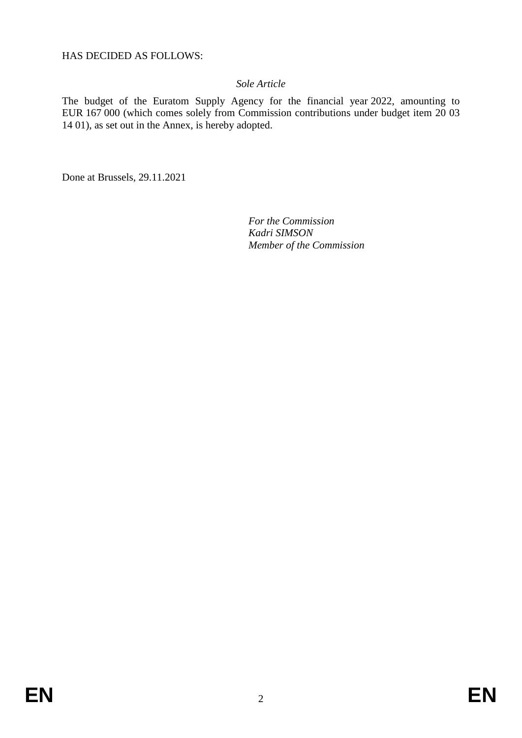HAS DECIDED AS FOLLOWS:

#### *Sole Article*

The budget of the Euratom Supply Agency for the financial year 2022, amounting to EUR 167 000 (which comes solely from Commission contributions under budget item 20 03 14 01), as set out in the Annex, is hereby adopted.

Done at Brussels, 29.11.2021

*For the Commission Kadri SIMSON Member of the Commission*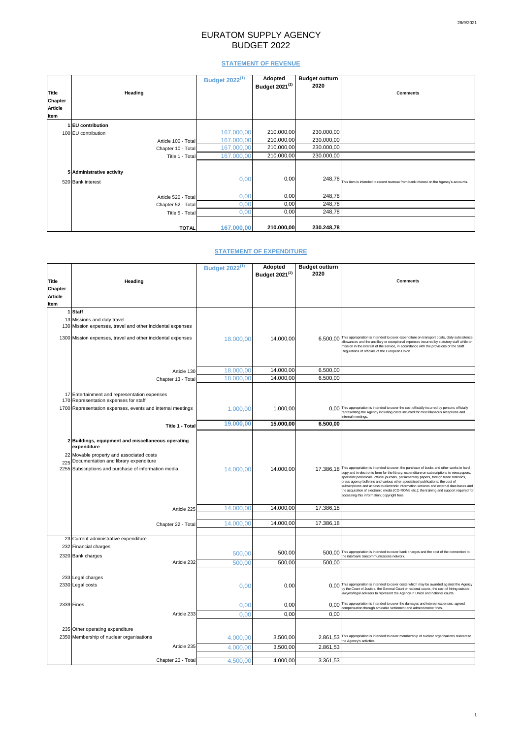# EURATOM SUPPLY AGENCY BUDGET 2022

## **STATEMENT OF REVENUE**

|                |                           | <b>Budget 2022(1)</b> | <b>Adopted</b><br>Budget 2021 <sup>(2)</sup> | <b>Budget outturn</b><br>2020 |                                                                                      |
|----------------|---------------------------|-----------------------|----------------------------------------------|-------------------------------|--------------------------------------------------------------------------------------|
| <b>Title</b>   | <b>Heading</b>            |                       |                                              |                               | <b>Comments</b>                                                                      |
| <b>Chapter</b> |                           |                       |                                              |                               |                                                                                      |
| <b>Article</b> |                           |                       |                                              |                               |                                                                                      |
| Item           |                           |                       |                                              |                               |                                                                                      |
|                | 1 EU contribution         |                       |                                              |                               |                                                                                      |
|                | 100 EU contribution       | 167.000,00            | 210.000,00                                   | 230.000,00                    |                                                                                      |
|                | Article 100 - Total       | 167.000,00            | 210.000,00                                   | 230.000,00                    |                                                                                      |
|                | Chapter 10 - Total        | 167.000,00            | 210.000,00                                   | 230.000,00                    |                                                                                      |
|                | Title 1 - Total           | 167.000,00            | 210.000,00                                   | 230.000,00                    |                                                                                      |
|                | 5 Administrative activity |                       |                                              |                               |                                                                                      |
|                | 520 Bank interest         | 0,00                  | 0,00                                         | 248,78                        | This item is intended to record revenue from bank interest on the Agency's accounts. |
|                | Article 520 - Total       | 0,00                  | 0,00                                         | 248,78                        |                                                                                      |
|                | Chapter 52 - Total        | 0,00                  | 0,00                                         | 248,78                        |                                                                                      |
|                | Title 5 - Total           | 0,00                  | 0,00                                         | 248,78                        |                                                                                      |
|                | <b>TOTAL</b>              | 167.000,00            | 210.000,00                                   | 230.248,78                    |                                                                                      |

## **STATEMENT OF EXPENDITURE**

|                |                                                                                                                                                     | <b>Budget 2022(1)</b> | <b>Adopted</b>             | <b>Budget outturn</b> |                                                                                                                                                                                                                                                                                                                                                                                                                     |
|----------------|-----------------------------------------------------------------------------------------------------------------------------------------------------|-----------------------|----------------------------|-----------------------|---------------------------------------------------------------------------------------------------------------------------------------------------------------------------------------------------------------------------------------------------------------------------------------------------------------------------------------------------------------------------------------------------------------------|
|                |                                                                                                                                                     |                       | Budget 2021 <sup>(2)</sup> | 2020                  |                                                                                                                                                                                                                                                                                                                                                                                                                     |
| <b>Title</b>   | <b>Heading</b>                                                                                                                                      |                       |                            |                       | <b>Comments</b>                                                                                                                                                                                                                                                                                                                                                                                                     |
| <b>Chapter</b> |                                                                                                                                                     |                       |                            |                       |                                                                                                                                                                                                                                                                                                                                                                                                                     |
| <b>Article</b> |                                                                                                                                                     |                       |                            |                       |                                                                                                                                                                                                                                                                                                                                                                                                                     |
| Item           |                                                                                                                                                     |                       |                            |                       |                                                                                                                                                                                                                                                                                                                                                                                                                     |
|                | 1 Staff                                                                                                                                             |                       |                            |                       |                                                                                                                                                                                                                                                                                                                                                                                                                     |
|                | 13 Missions and duty travel<br>130 Mission expenses, travel and other incidental expenses                                                           |                       |                            |                       |                                                                                                                                                                                                                                                                                                                                                                                                                     |
|                | 1300 Mission expenses, travel and other incidental expenses                                                                                         | 18.000,00             | 14.000,00                  |                       | 6.500,00 This appropriation is intended to cover expenditure on transport costs, daily subsistence<br>allowances and the ancillary or exceptional expenses incurred by statutory staff while on<br>mission in the interest of the service, in accordance with the provisions of the Staff<br>Regulations of officials of the European Union.                                                                        |
|                | Article 130                                                                                                                                         | 18.000,00             | 14.000,00                  | 6.500,00              |                                                                                                                                                                                                                                                                                                                                                                                                                     |
|                |                                                                                                                                                     | 18.000,00             | 14.000,00                  | 6.500,00              |                                                                                                                                                                                                                                                                                                                                                                                                                     |
|                | Chapter 13 - Total                                                                                                                                  |                       |                            |                       |                                                                                                                                                                                                                                                                                                                                                                                                                     |
|                | 17 Entertainment and representation expenses<br>170 Representation expenses for staff<br>1700 Representation expenses, events and internal meetings |                       |                            |                       | 0.00 This appropriation is intended to cover the cost officially incurred by persons officially                                                                                                                                                                                                                                                                                                                     |
|                |                                                                                                                                                     | 1.000,00              | 1.000,00                   |                       | representing the Agency including costs incurred for miscellaneous receptions and<br>internal meetings.                                                                                                                                                                                                                                                                                                             |
|                |                                                                                                                                                     | 19.000,00             | 15.000,00                  | 6.500,00              |                                                                                                                                                                                                                                                                                                                                                                                                                     |
|                | Title 1 - Total                                                                                                                                     |                       |                            |                       |                                                                                                                                                                                                                                                                                                                                                                                                                     |
|                | 2 Buildings, equipment and miscellaneous operating<br>expenditure                                                                                   |                       |                            |                       |                                                                                                                                                                                                                                                                                                                                                                                                                     |
|                | 22 Movable property and associated costs<br>225 Documentation and library expenditure<br>2255 Subscriptions and purchase of information media       | 14.000,00             | 14.000,00                  |                       | 17.386,18 This appropriation is intended to cover: the purchase of books and other works in hard<br>copy and in electronic form for the library; expenditure on subscriptions to newspapers,                                                                                                                                                                                                                        |
|                |                                                                                                                                                     |                       |                            |                       | specialist periodicals, official journals, parliamentary papers, foreign trade statistics,<br>press agency bulletins and various other specialised publications; the cost of<br>subscriptions and access to electronic information services and external data bases and<br>the acquisition of electronic media (CD-ROMs etc.); the training and support required for<br>accessing this information; copyright fees. |
|                | Article 225                                                                                                                                         | 14.000,00             | 14.000,00                  | 17.386,18             |                                                                                                                                                                                                                                                                                                                                                                                                                     |
|                |                                                                                                                                                     |                       |                            |                       |                                                                                                                                                                                                                                                                                                                                                                                                                     |
|                | Chapter 22 - Total                                                                                                                                  | 14.000,00             | 14.000,00                  | 17.386,18             |                                                                                                                                                                                                                                                                                                                                                                                                                     |
|                |                                                                                                                                                     |                       |                            |                       |                                                                                                                                                                                                                                                                                                                                                                                                                     |
|                | 23 Current administrative expenditure                                                                                                               |                       |                            |                       |                                                                                                                                                                                                                                                                                                                                                                                                                     |
|                | 232 Financial charges                                                                                                                               |                       |                            |                       |                                                                                                                                                                                                                                                                                                                                                                                                                     |
|                | 2320 Bank charges                                                                                                                                   | 500,00                | 500,00                     |                       | 500,00 This appropriation is intended to cover bank charges and the cost of the connection to<br>the interbank telecommunications network.                                                                                                                                                                                                                                                                          |
|                | Article 232                                                                                                                                         | 500,00                | 500,00                     | 500,00                |                                                                                                                                                                                                                                                                                                                                                                                                                     |
|                |                                                                                                                                                     |                       |                            |                       |                                                                                                                                                                                                                                                                                                                                                                                                                     |
|                | 233 Legal charges                                                                                                                                   |                       |                            |                       |                                                                                                                                                                                                                                                                                                                                                                                                                     |
|                | 2330 Legal costs                                                                                                                                    | 0,00                  | 0,00                       |                       | 0,00 This appropriation is intended to cover costs which may be awarded against the Agency<br>by the Court of Justice, the General Court or national courts, the cost of hiring outside<br>lawyers/legal advisers to represent the Agency in Union and national courts.                                                                                                                                             |
|                | 2339 Fines                                                                                                                                          | 0,00                  | 0,00                       |                       | 0,00 This appropriation is intended to cover the damages and interest expenses, agreed<br>compensation through amicable settlement and administrative fines.                                                                                                                                                                                                                                                        |
|                | Article 233                                                                                                                                         | 0,00                  | 0,00                       | 0,00                  |                                                                                                                                                                                                                                                                                                                                                                                                                     |
|                |                                                                                                                                                     |                       |                            |                       |                                                                                                                                                                                                                                                                                                                                                                                                                     |
|                | 235 Other operating expenditure                                                                                                                     |                       |                            |                       |                                                                                                                                                                                                                                                                                                                                                                                                                     |
|                | 2350 Membership of nuclear organisations                                                                                                            | 4.000,00              | 3.500,00                   |                       | 2.861,53 This appropriation is intended to cover membership of nuclear organisations relevant to the Agency's activities.                                                                                                                                                                                                                                                                                           |
|                | Article 235                                                                                                                                         | 4.000,00              | 3.500,00                   | 2.861,53              |                                                                                                                                                                                                                                                                                                                                                                                                                     |
|                |                                                                                                                                                     |                       |                            |                       |                                                                                                                                                                                                                                                                                                                                                                                                                     |
|                | Chapter 23 - Total                                                                                                                                  | 4.500,00              | 4.000,00                   | 3.361,53              |                                                                                                                                                                                                                                                                                                                                                                                                                     |